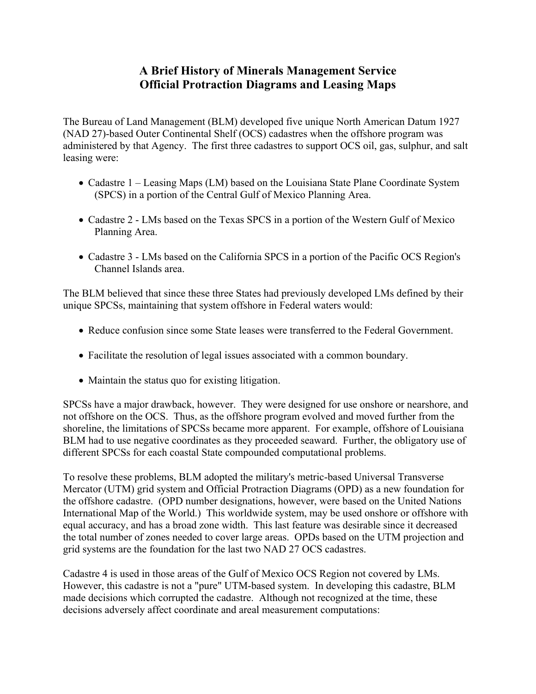## **A Brief History of Minerals Management Service Official Protraction Diagrams and Leasing Maps**

The Bureau of Land Management (BLM) developed five unique North American Datum 1927 (NAD 27)-based Outer Continental Shelf (OCS) cadastres when the offshore program was administered by that Agency. The first three cadastres to support OCS oil, gas, sulphur, and salt leasing were:

- Cadastre 1 Leasing Maps (LM) based on the Louisiana State Plane Coordinate System (SPCS) in a portion of the Central Gulf of Mexico Planning Area.
- Cadastre 2 LMs based on the Texas SPCS in a portion of the Western Gulf of Mexico Planning Area.
- Cadastre 3 LMs based on the California SPCS in a portion of the Pacific OCS Region's Channel Islands area.

The BLM believed that since these three States had previously developed LMs defined by their unique SPCSs, maintaining that system offshore in Federal waters would:

- Reduce confusion since some State leases were transferred to the Federal Government.
- Facilitate the resolution of legal issues associated with a common boundary.
- Maintain the status quo for existing litigation.

SPCSs have a major drawback, however. They were designed for use onshore or nearshore, and not offshore on the OCS. Thus, as the offshore program evolved and moved further from the shoreline, the limitations of SPCSs became more apparent. For example, offshore of Louisiana BLM had to use negative coordinates as they proceeded seaward. Further, the obligatory use of different SPCSs for each coastal State compounded computational problems.

To resolve these problems, BLM adopted the military's metric-based Universal Transverse Mercator (UTM) grid system and Official Protraction Diagrams (OPD) as a new foundation for the offshore cadastre. (OPD number designations, however, were based on the United Nations International Map of the World.) This worldwide system, may be used onshore or offshore with equal accuracy, and has a broad zone width. This last feature was desirable since it decreased the total number of zones needed to cover large areas. OPDs based on the UTM projection and grid systems are the foundation for the last two NAD 27 OCS cadastres.

Cadastre 4 is used in those areas of the Gulf of Mexico OCS Region not covered by LMs. However, this cadastre is not a "pure" UTM-based system. In developing this cadastre, BLM made decisions which corrupted the cadastre. Although not recognized at the time, these decisions adversely affect coordinate and areal measurement computations: